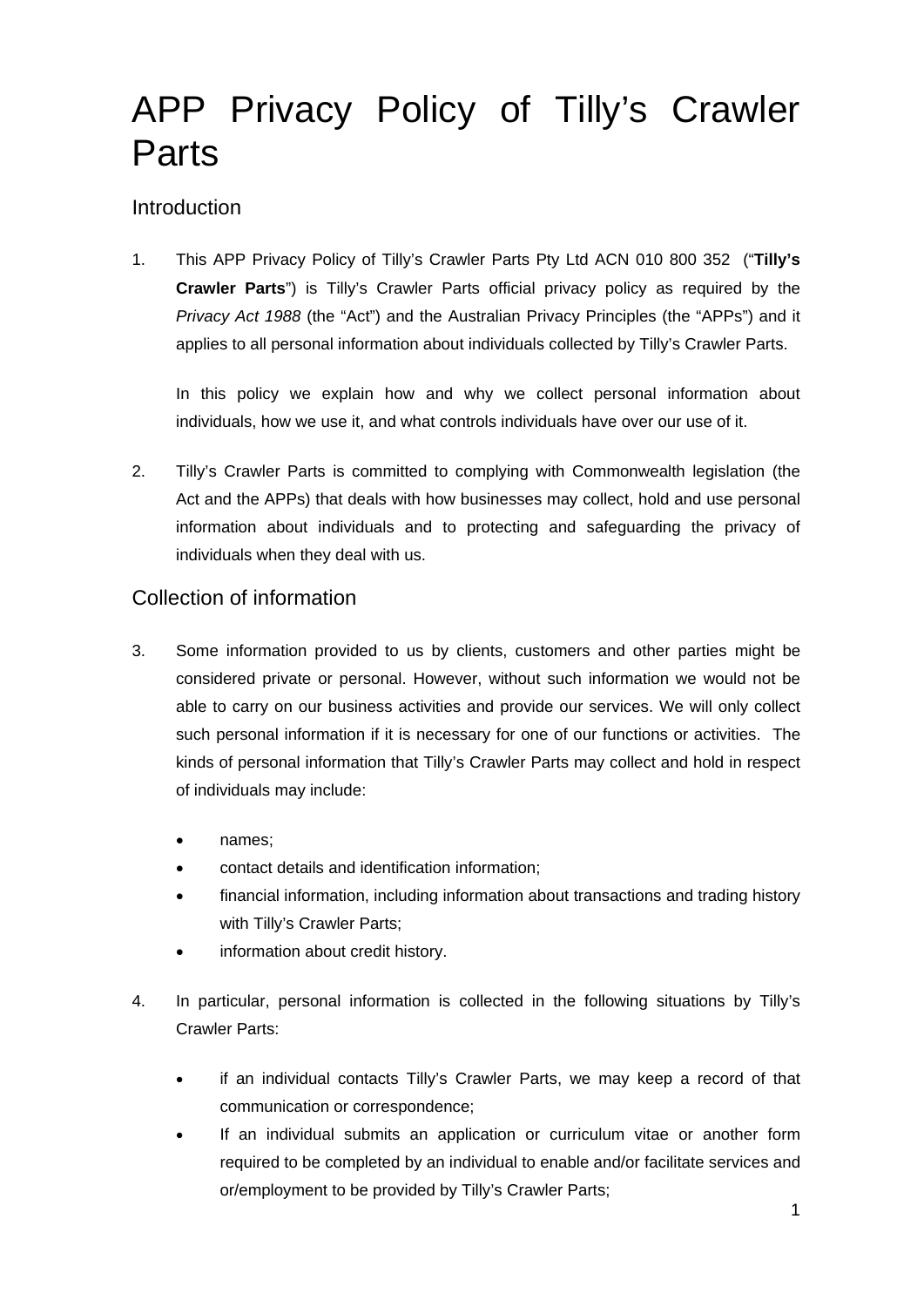# APP Privacy Policy of Tilly's Crawler **Parts**

## **Introduction**

1. This APP Privacy Policy of Tilly's Crawler Parts Pty Ltd ACN 010 800 352 ("**Tilly's Crawler Parts**") is Tilly's Crawler Parts official privacy policy as required by the *Privacy Act 1988* (the "Act") and the Australian Privacy Principles (the "APPs") and it applies to all personal information about individuals collected by Tilly's Crawler Parts.

In this policy we explain how and why we collect personal information about individuals, how we use it, and what controls individuals have over our use of it.

2. Tilly's Crawler Parts is committed to complying with Commonwealth legislation (the Act and the APPs) that deals with how businesses may collect, hold and use personal information about individuals and to protecting and safeguarding the privacy of individuals when they deal with us.

## Collection of information

- 3. Some information provided to us by clients, customers and other parties might be considered private or personal. However, without such information we would not be able to carry on our business activities and provide our services. We will only collect such personal information if it is necessary for one of our functions or activities. The kinds of personal information that Tilly's Crawler Parts may collect and hold in respect of individuals may include:
	- names;
	- contact details and identification information;
	- financial information, including information about transactions and trading history with Tilly's Crawler Parts;
	- information about credit history.
- 4. In particular, personal information is collected in the following situations by Tilly's Crawler Parts:
	- if an individual contacts Tilly's Crawler Parts, we may keep a record of that communication or correspondence;
	- If an individual submits an application or curriculum vitae or another form required to be completed by an individual to enable and/or facilitate services and or/employment to be provided by Tilly's Crawler Parts;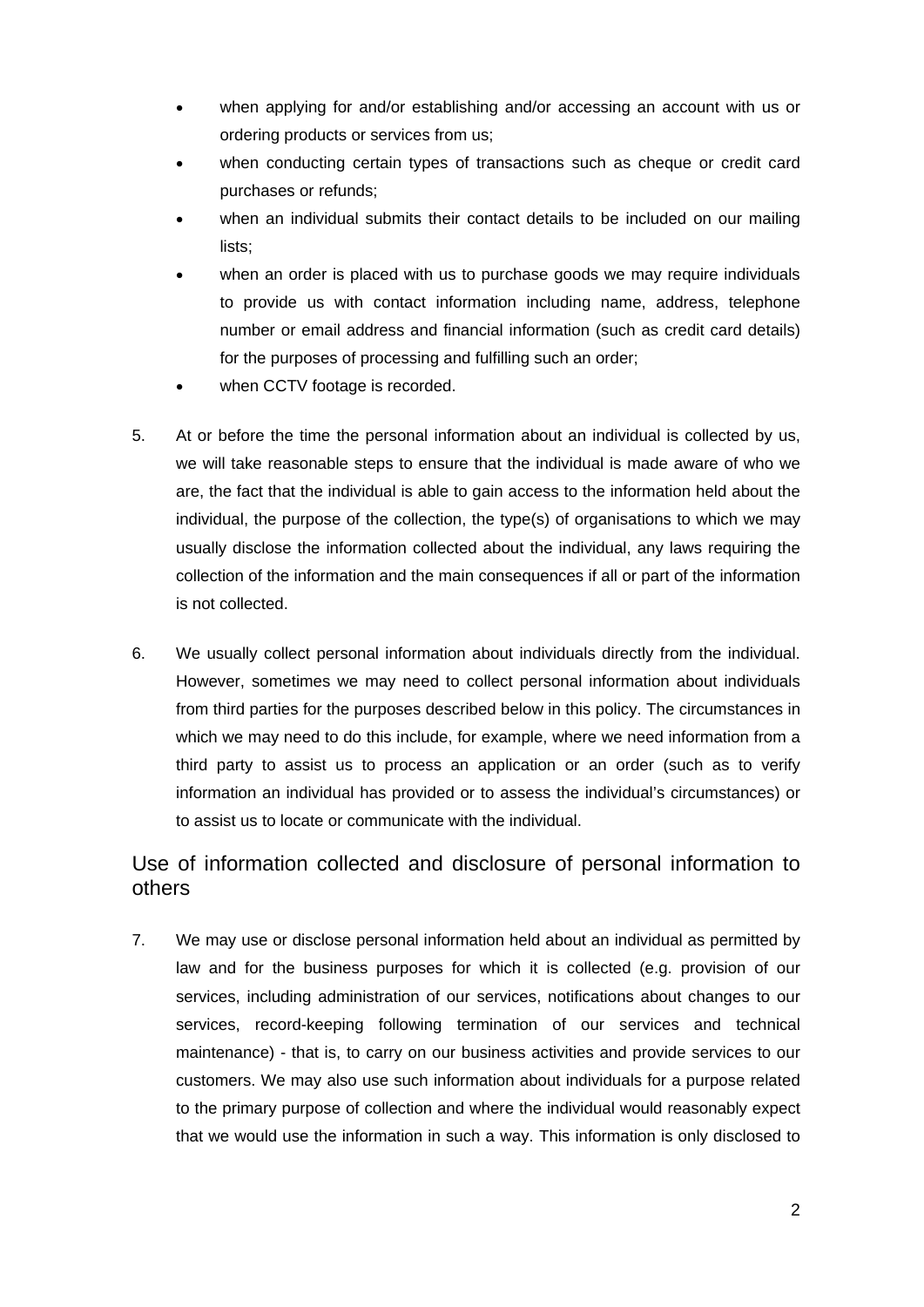- when applying for and/or establishing and/or accessing an account with us or ordering products or services from us;
- when conducting certain types of transactions such as cheque or credit card purchases or refunds;
- when an individual submits their contact details to be included on our mailing lists;
- when an order is placed with us to purchase goods we may require individuals to provide us with contact information including name, address, telephone number or email address and financial information (such as credit card details) for the purposes of processing and fulfilling such an order;
- when CCTV footage is recorded.
- 5. At or before the time the personal information about an individual is collected by us, we will take reasonable steps to ensure that the individual is made aware of who we are, the fact that the individual is able to gain access to the information held about the individual, the purpose of the collection, the type(s) of organisations to which we may usually disclose the information collected about the individual, any laws requiring the collection of the information and the main consequences if all or part of the information is not collected.
- 6. We usually collect personal information about individuals directly from the individual. However, sometimes we may need to collect personal information about individuals from third parties for the purposes described below in this policy. The circumstances in which we may need to do this include, for example, where we need information from a third party to assist us to process an application or an order (such as to verify information an individual has provided or to assess the individual's circumstances) or to assist us to locate or communicate with the individual.

## Use of information collected and disclosure of personal information to others

7. We may use or disclose personal information held about an individual as permitted by law and for the business purposes for which it is collected (e.g. provision of our services, including administration of our services, notifications about changes to our services, record-keeping following termination of our services and technical maintenance) - that is, to carry on our business activities and provide services to our customers. We may also use such information about individuals for a purpose related to the primary purpose of collection and where the individual would reasonably expect that we would use the information in such a way. This information is only disclosed to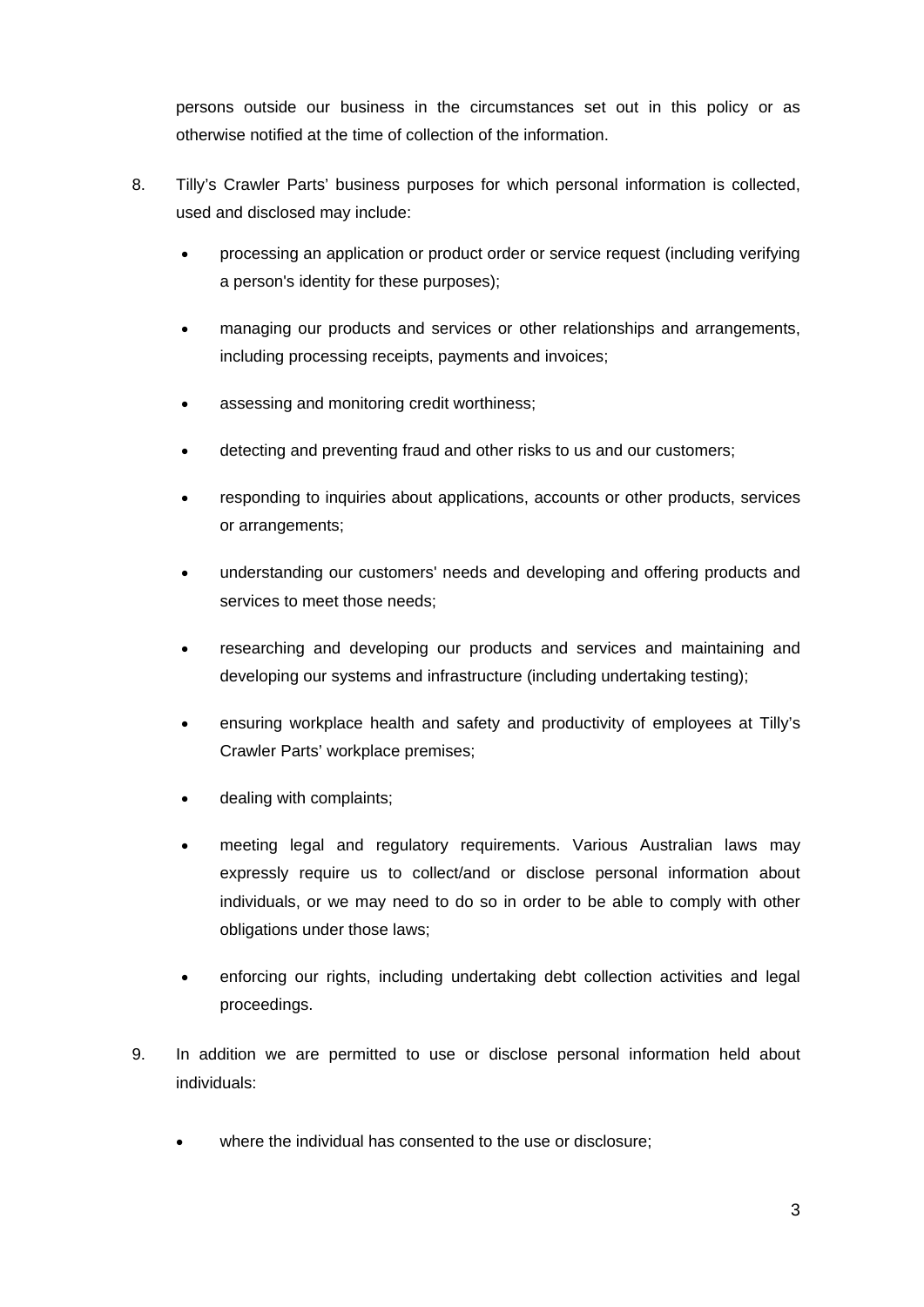persons outside our business in the circumstances set out in this policy or as otherwise notified at the time of collection of the information.

- 8. Tilly's Crawler Parts' business purposes for which personal information is collected, used and disclosed may include:
	- processing an application or product order or service request (including verifying a person's identity for these purposes);
	- managing our products and services or other relationships and arrangements, including processing receipts, payments and invoices;
	- assessing and monitoring credit worthiness;
	- detecting and preventing fraud and other risks to us and our customers;
	- responding to inquiries about applications, accounts or other products, services or arrangements;
	- understanding our customers' needs and developing and offering products and services to meet those needs;
	- researching and developing our products and services and maintaining and developing our systems and infrastructure (including undertaking testing);
	- ensuring workplace health and safety and productivity of employees at Tilly's Crawler Parts' workplace premises;
	- dealing with complaints;
	- meeting legal and regulatory requirements. Various Australian laws may expressly require us to collect/and or disclose personal information about individuals, or we may need to do so in order to be able to comply with other obligations under those laws;
	- enforcing our rights, including undertaking debt collection activities and legal proceedings.
- 9. In addition we are permitted to use or disclose personal information held about individuals:
	- where the individual has consented to the use or disclosure;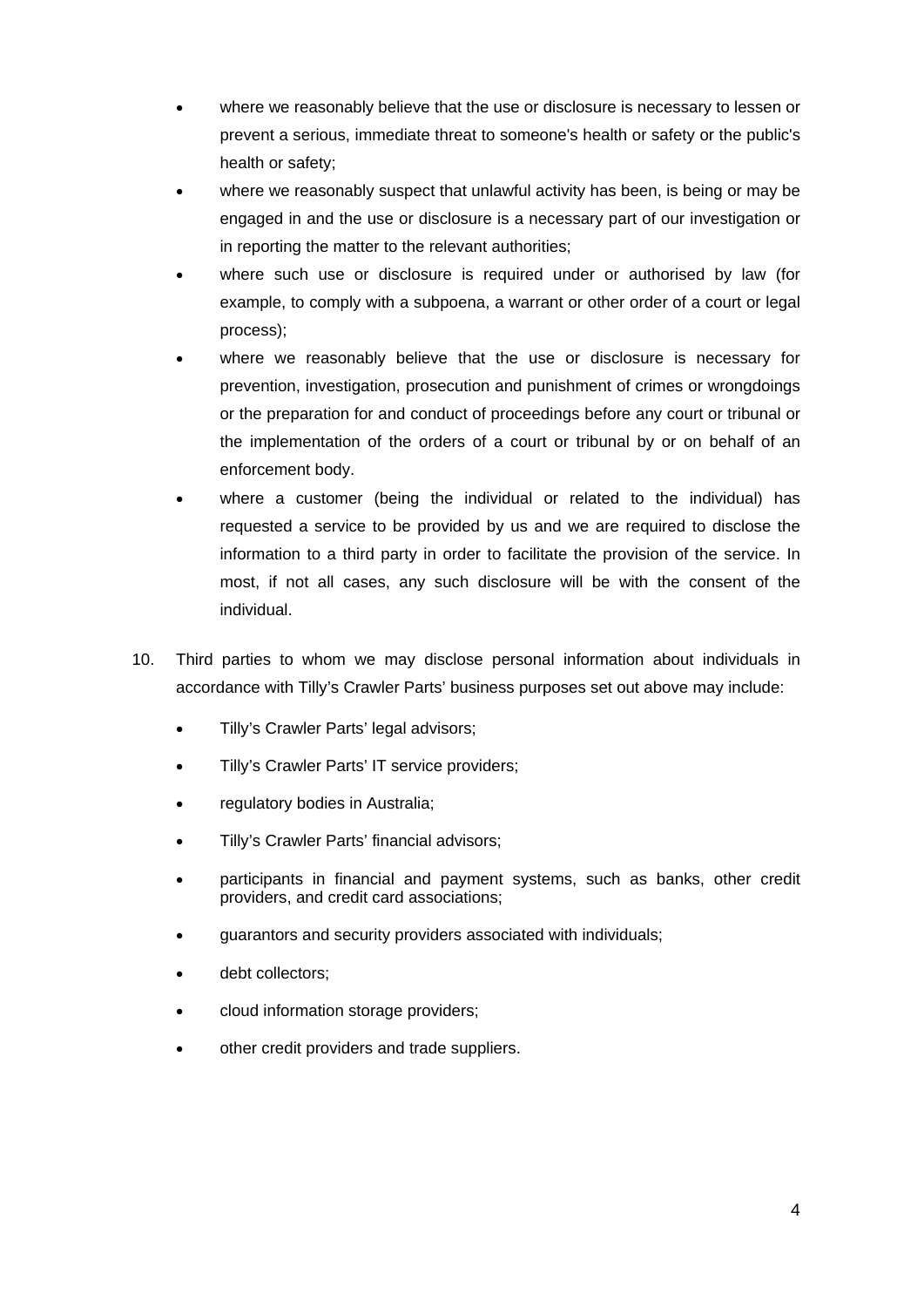- where we reasonably believe that the use or disclosure is necessary to lessen or prevent a serious, immediate threat to someone's health or safety or the public's health or safety;
- where we reasonably suspect that unlawful activity has been, is being or may be engaged in and the use or disclosure is a necessary part of our investigation or in reporting the matter to the relevant authorities;
- where such use or disclosure is required under or authorised by law (for example, to comply with a subpoena, a warrant or other order of a court or legal process);
- where we reasonably believe that the use or disclosure is necessary for prevention, investigation, prosecution and punishment of crimes or wrongdoings or the preparation for and conduct of proceedings before any court or tribunal or the implementation of the orders of a court or tribunal by or on behalf of an enforcement body.
- where a customer (being the individual or related to the individual) has requested a service to be provided by us and we are required to disclose the information to a third party in order to facilitate the provision of the service. In most, if not all cases, any such disclosure will be with the consent of the individual.
- 10. Third parties to whom we may disclose personal information about individuals in accordance with Tilly's Crawler Parts' business purposes set out above may include:
	- Tilly's Crawler Parts' legal advisors;
	- Tilly's Crawler Parts' IT service providers;
	- regulatory bodies in Australia;
	- Tilly's Crawler Parts' financial advisors;
	- participants in financial and payment systems, such as banks, other credit providers, and credit card associations;
	- guarantors and security providers associated with individuals;
	- debt collectors;
	- cloud information storage providers;
	- other credit providers and trade suppliers.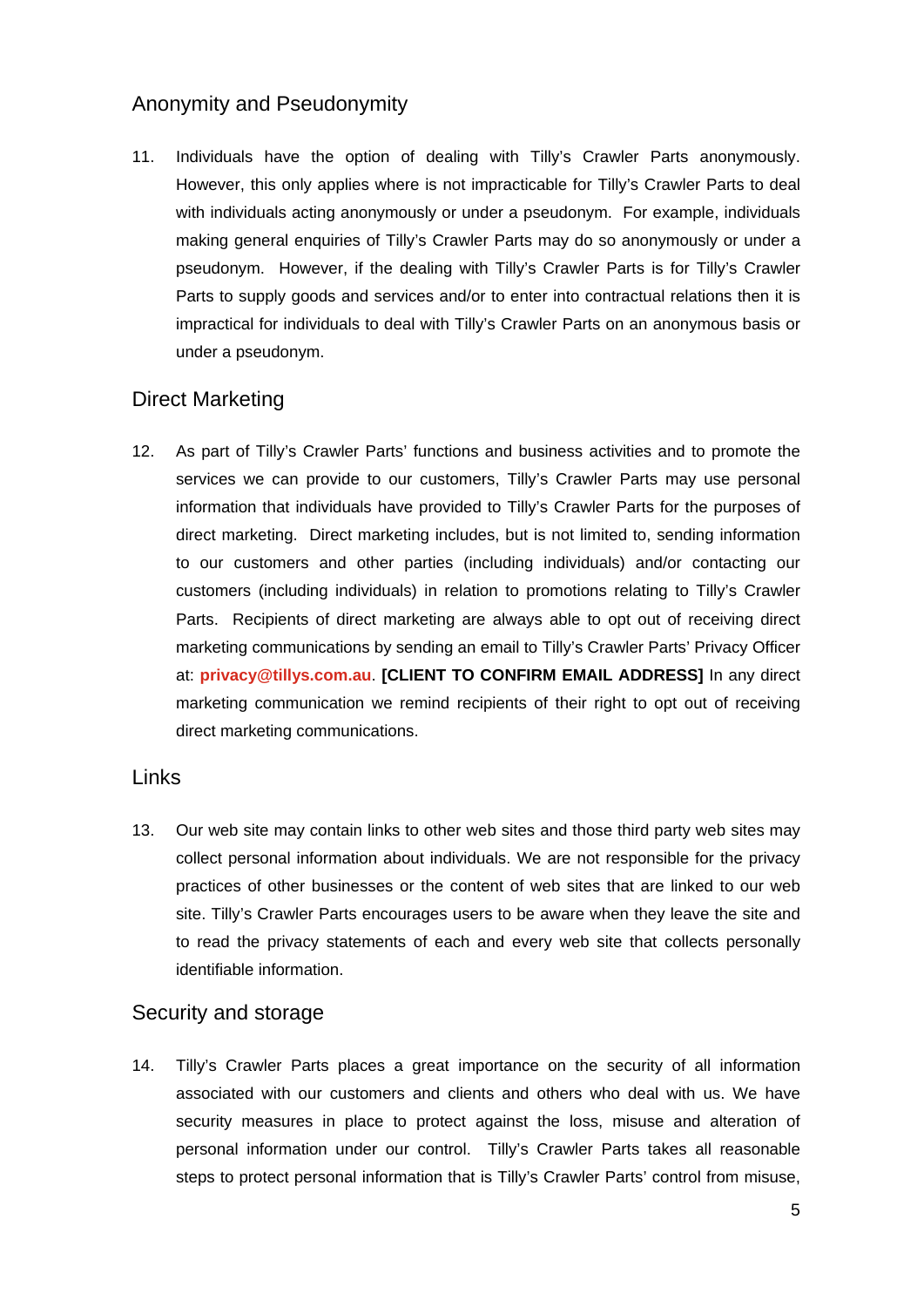## Anonymity and Pseudonymity

11. Individuals have the option of dealing with Tilly's Crawler Parts anonymously. However, this only applies where is not impracticable for Tilly's Crawler Parts to deal with individuals acting anonymously or under a pseudonym. For example, individuals making general enquiries of Tilly's Crawler Parts may do so anonymously or under a pseudonym. However, if the dealing with Tilly's Crawler Parts is for Tilly's Crawler Parts to supply goods and services and/or to enter into contractual relations then it is impractical for individuals to deal with Tilly's Crawler Parts on an anonymous basis or under a pseudonym.

## Direct Marketing

12. As part of Tilly's Crawler Parts' functions and business activities and to promote the services we can provide to our customers, Tilly's Crawler Parts may use personal information that individuals have provided to Tilly's Crawler Parts for the purposes of direct marketing. Direct marketing includes, but is not limited to, sending information to our customers and other parties (including individuals) and/or contacting our customers (including individuals) in relation to promotions relating to Tilly's Crawler Parts. Recipients of direct marketing are always able to opt out of receiving direct marketing communications by sending an email to Tilly's Crawler Parts' Privacy Officer at: **privacy@tillys.com.au**. **[CLIENT TO CONFIRM EMAIL ADDRESS]** In any direct marketing communication we remind recipients of their right to opt out of receiving direct marketing communications.

#### Links

13. Our web site may contain links to other web sites and those third party web sites may collect personal information about individuals. We are not responsible for the privacy practices of other businesses or the content of web sites that are linked to our web site. Tilly's Crawler Parts encourages users to be aware when they leave the site and to read the privacy statements of each and every web site that collects personally identifiable information.

#### Security and storage

14. Tilly's Crawler Parts places a great importance on the security of all information associated with our customers and clients and others who deal with us. We have security measures in place to protect against the loss, misuse and alteration of personal information under our control. Tilly's Crawler Parts takes all reasonable steps to protect personal information that is Tilly's Crawler Parts' control from misuse,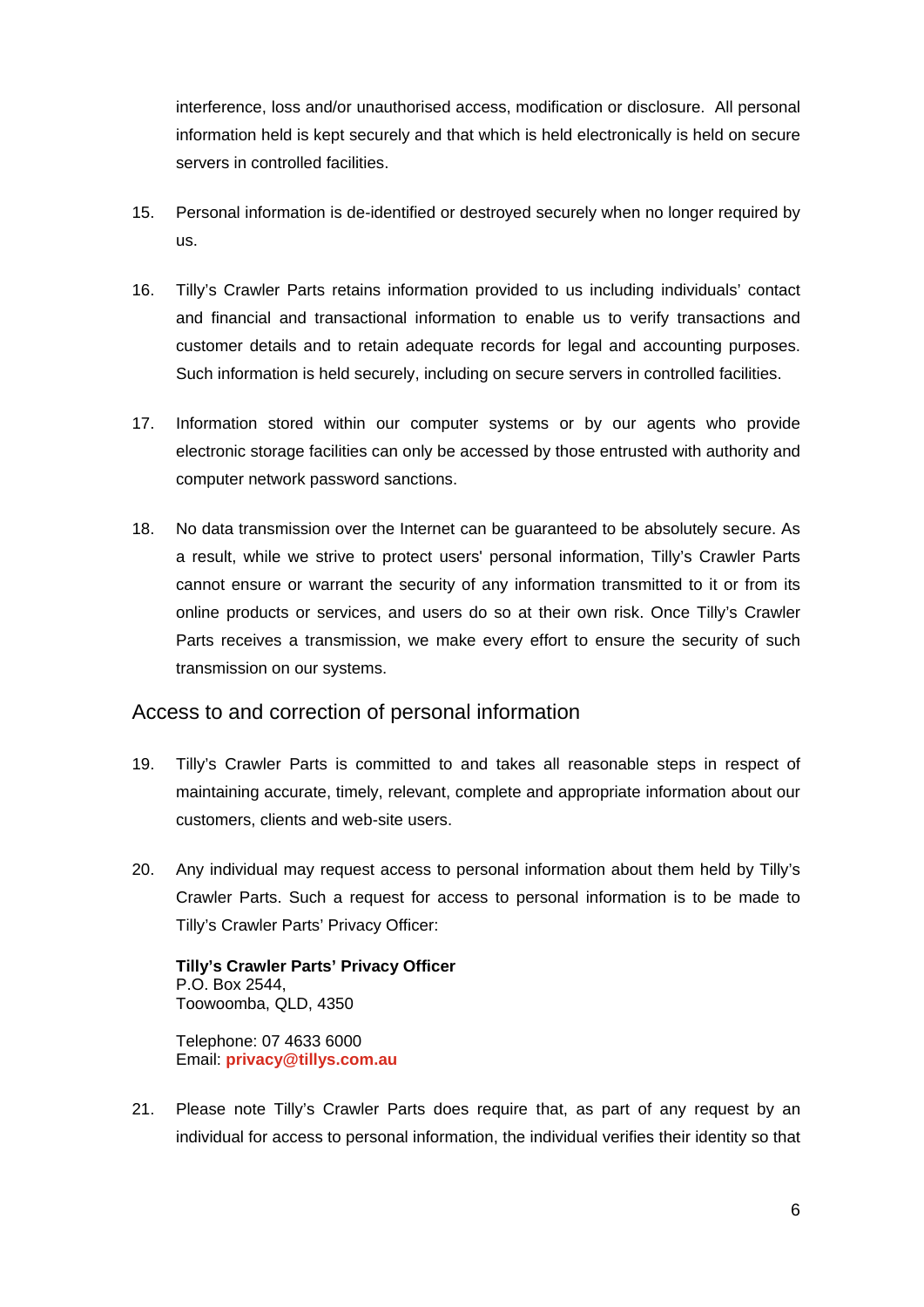interference, loss and/or unauthorised access, modification or disclosure. All personal information held is kept securely and that which is held electronically is held on secure servers in controlled facilities.

- 15. Personal information is de-identified or destroyed securely when no longer required by us.
- 16. Tilly's Crawler Parts retains information provided to us including individuals' contact and financial and transactional information to enable us to verify transactions and customer details and to retain adequate records for legal and accounting purposes. Such information is held securely, including on secure servers in controlled facilities.
- 17. Information stored within our computer systems or by our agents who provide electronic storage facilities can only be accessed by those entrusted with authority and computer network password sanctions.
- 18. No data transmission over the Internet can be guaranteed to be absolutely secure. As a result, while we strive to protect users' personal information, Tilly's Crawler Parts cannot ensure or warrant the security of any information transmitted to it or from its online products or services, and users do so at their own risk. Once Tilly's Crawler Parts receives a transmission, we make every effort to ensure the security of such transmission on our systems.

#### Access to and correction of personal information

- 19. Tilly's Crawler Parts is committed to and takes all reasonable steps in respect of maintaining accurate, timely, relevant, complete and appropriate information about our customers, clients and web-site users.
- 20. Any individual may request access to personal information about them held by Tilly's Crawler Parts. Such a request for access to personal information is to be made to Tilly's Crawler Parts' Privacy Officer:

**Tilly's Crawler Parts' Privacy Officer**  P.O. Box 2544, Toowoomba, QLD, 4350

Telephone: 07 4633 6000 Email: **privacy@tillys.com.au**

21. Please note Tilly's Crawler Parts does require that, as part of any request by an individual for access to personal information, the individual verifies their identity so that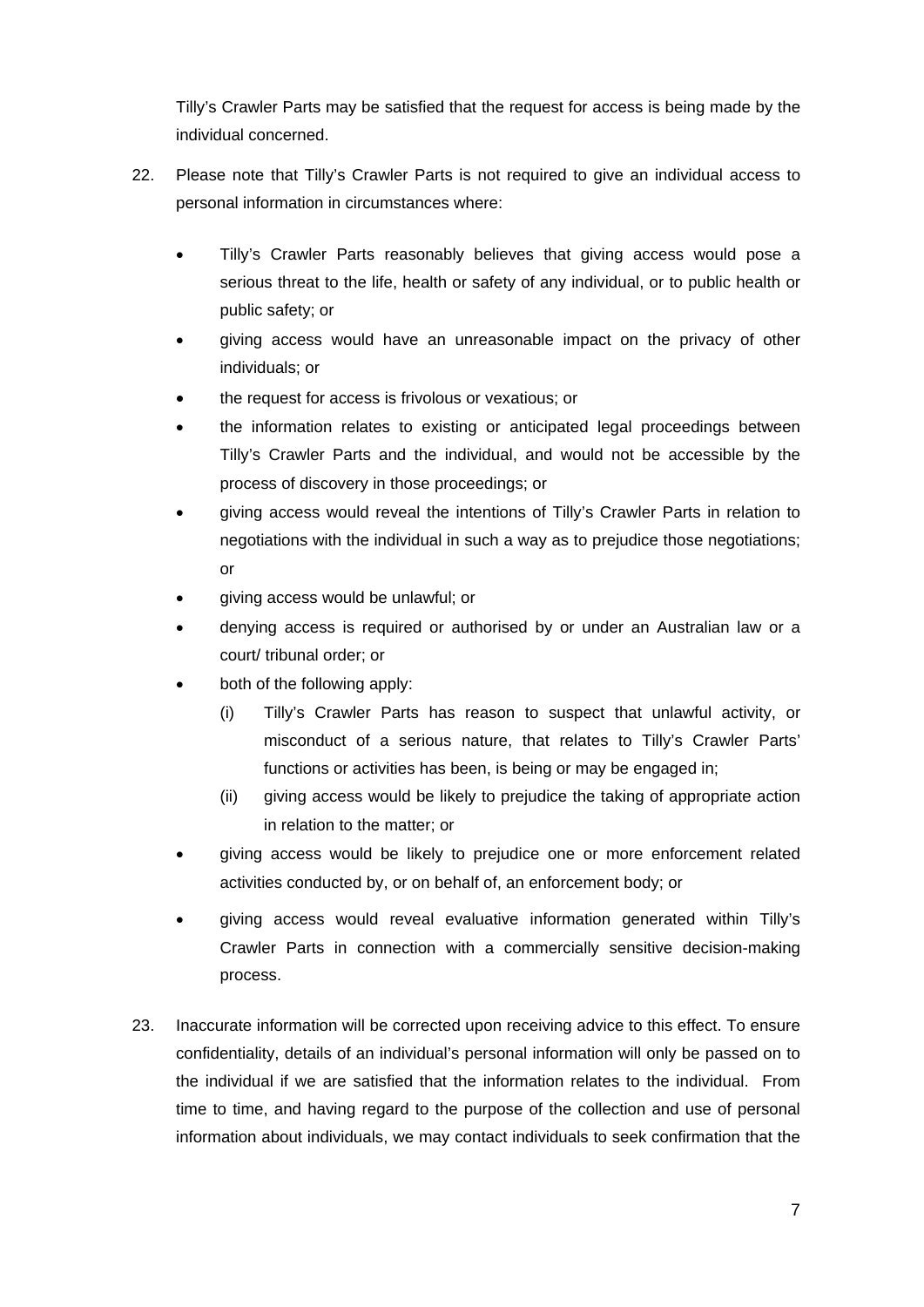Tilly's Crawler Parts may be satisfied that the request for access is being made by the individual concerned.

- 22. Please note that Tilly's Crawler Parts is not required to give an individual access to personal information in circumstances where:
	- Tilly's Crawler Parts reasonably believes that giving access would pose a serious threat to the life, health or safety of any individual, or to public health or public safety; or
	- giving access would have an unreasonable impact on the privacy of other individuals; or
	- the request for access is frivolous or vexatious; or
	- the information relates to existing or anticipated legal proceedings between Tilly's Crawler Parts and the individual, and would not be accessible by the process of discovery in those proceedings; or
	- giving access would reveal the intentions of Tilly's Crawler Parts in relation to negotiations with the individual in such a way as to prejudice those negotiations; or
	- giving access would be unlawful; or
	- denying access is required or authorised by or under an Australian law or a court/ tribunal order; or
	- both of the following apply:
		- (i) Tilly's Crawler Parts has reason to suspect that unlawful activity, or misconduct of a serious nature, that relates to Tilly's Crawler Parts' functions or activities has been, is being or may be engaged in;
		- (ii) giving access would be likely to prejudice the taking of appropriate action in relation to the matter; or
	- giving access would be likely to prejudice one or more enforcement related activities conducted by, or on behalf of, an enforcement body; or
	- giving access would reveal evaluative information generated within Tilly's Crawler Parts in connection with a commercially sensitive decision-making process.
- 23. Inaccurate information will be corrected upon receiving advice to this effect. To ensure confidentiality, details of an individual's personal information will only be passed on to the individual if we are satisfied that the information relates to the individual. From time to time, and having regard to the purpose of the collection and use of personal information about individuals, we may contact individuals to seek confirmation that the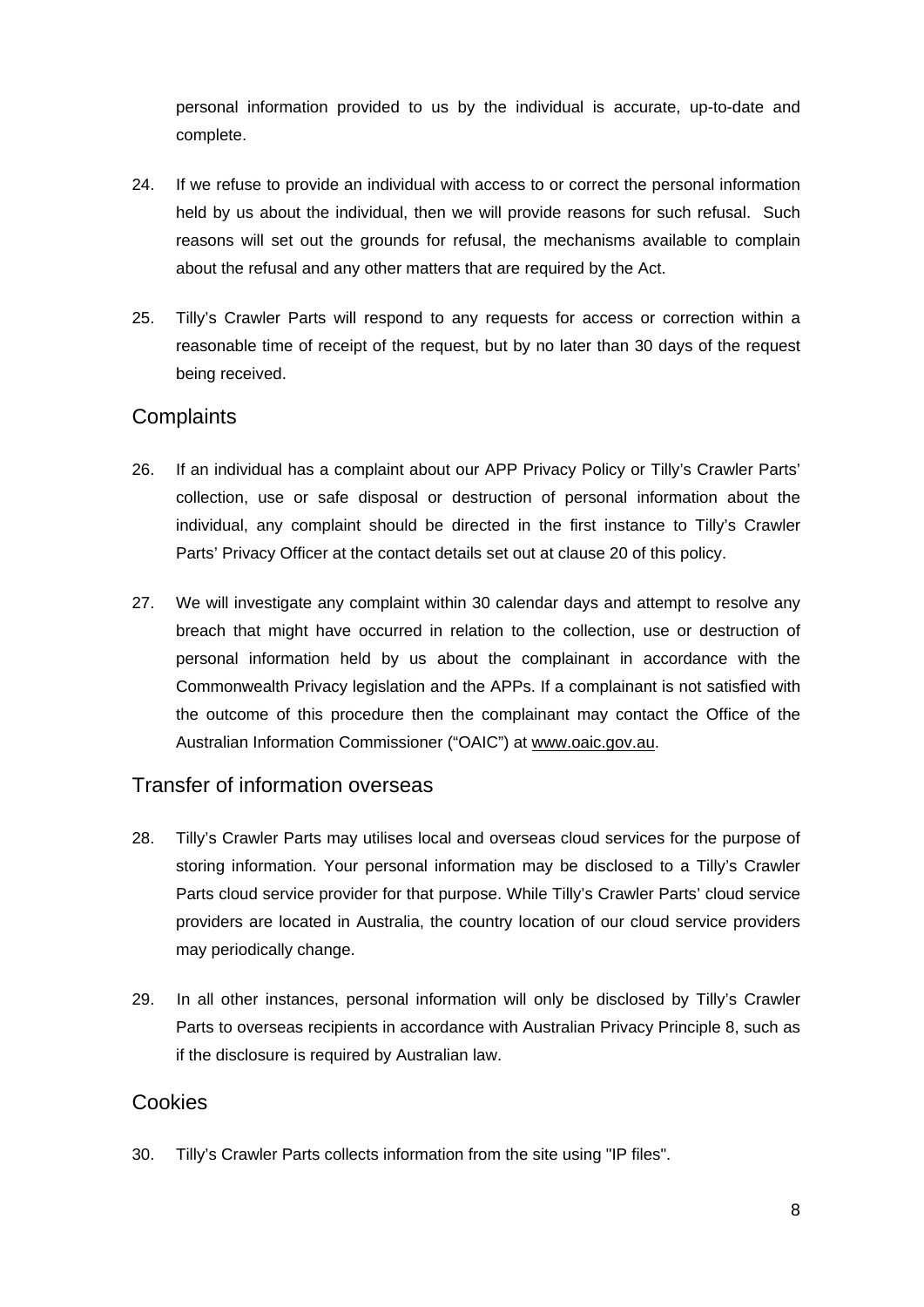personal information provided to us by the individual is accurate, up-to-date and complete.

- 24. If we refuse to provide an individual with access to or correct the personal information held by us about the individual, then we will provide reasons for such refusal. Such reasons will set out the grounds for refusal, the mechanisms available to complain about the refusal and any other matters that are required by the Act.
- 25. Tilly's Crawler Parts will respond to any requests for access or correction within a reasonable time of receipt of the request, but by no later than 30 days of the request being received.

### **Complaints**

- 26. If an individual has a complaint about our APP Privacy Policy or Tilly's Crawler Parts' collection, use or safe disposal or destruction of personal information about the individual, any complaint should be directed in the first instance to Tilly's Crawler Parts' Privacy Officer at the contact details set out at clause 20 of this policy.
- 27. We will investigate any complaint within 30 calendar days and attempt to resolve any breach that might have occurred in relation to the collection, use or destruction of personal information held by us about the complainant in accordance with the Commonwealth Privacy legislation and the APPs. If a complainant is not satisfied with the outcome of this procedure then the complainant may contact the Office of the Australian Information Commissioner ("OAIC") at www.oaic.gov.au.

#### Transfer of information overseas

- 28. Tilly's Crawler Parts may utilises local and overseas cloud services for the purpose of storing information. Your personal information may be disclosed to a Tilly's Crawler Parts cloud service provider for that purpose. While Tilly's Crawler Parts' cloud service providers are located in Australia, the country location of our cloud service providers may periodically change.
- 29. In all other instances, personal information will only be disclosed by Tilly's Crawler Parts to overseas recipients in accordance with Australian Privacy Principle 8, such as if the disclosure is required by Australian law.

#### Cookies

30. Tilly's Crawler Parts collects information from the site using "IP files".